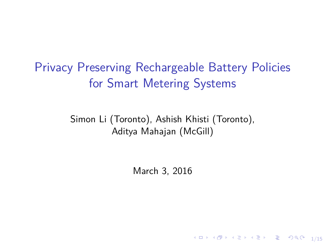Privacy Preserving Rechargeable Battery Policies for Smart Metering Systems

> Simon Li (Toronto), Ashish Khisti (Toronto), Aditya Mahajan (McGill)

> > March 3, 2016

1/15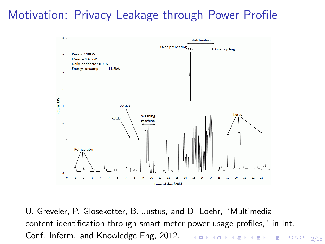### Motivation: Privacy Leakage through Power Profile



Conf. Inform. and Knowledge Eng, 2012. The series of the state  $z_{/15}$ U. Greveler, P. Glosekotter, B. Justus, and D. Loehr, "Multimedia content identification through smart meter power usage profiles," in Int.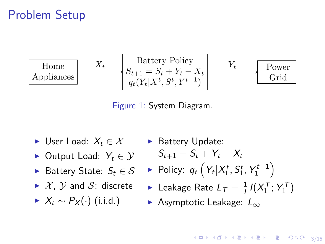### Problem Setup



Figure 1: System Diagram.

- $\triangleright$  User Load: *X*<sub>t</sub> ∈ *X*
- $\triangleright$  Output Load:  $Y_t \in \mathcal{Y}$
- $\blacktriangleright$  Battery State:  $S_t \in \mathcal{S}$
- $\blacktriangleright$  X, Y and S: discrete
- $\blacktriangleright$  *X<sub>t</sub>* ∼ *P<sub>X</sub>*(·) (i.i.d.)

 $\blacktriangleright$  Battery Update:

$$
S_{t+1} = S_t + Y_t - X_t
$$

- $\blacktriangleright$  Policy:  $q_t\left(Y_t|X_1^t, S_1^t, Y_1^{t-1}\right)$
- $\blacktriangleright$  Leakage Rate  $L_{\mathcal{T}} = \frac{1}{\mathcal{T}} I(X_1^{\mathcal{T}}; Y_1^{\mathcal{T}})$
- $\blacktriangleright$  Asymptotic Leakage:  $L_{\infty}$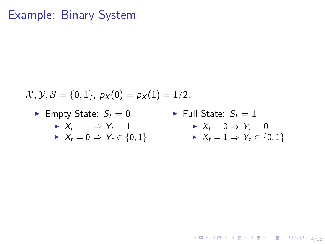### Example: Binary System

$$
\mathcal{X}, \mathcal{Y}, \mathcal{S} = \{0,1\}, \ p_X(0) = p_X(1) = 1/2.
$$

 $\blacktriangleright$  Empty State:  $S_t = 0$ 

$$
\blacktriangleright \; X_t = 1 \Rightarrow Y_t = 1
$$

- $\blacktriangleright$  *X*<sub>t</sub> = 0  $\Rightarrow$  *Y*<sub>t</sub>  $\in$  {0, 1}
- $\blacktriangleright$  Full State:  $S_t = 1$  $\blacktriangleright$   $X_t = 0 \Rightarrow Y_t = 0$  $\blacktriangleright$   $X_t = 1 \Rightarrow Y_t \in \{0, 1\}$

4/ 미 ▶ 4/ 레 ▶ 4/ 로 ▶ 4/로 ▶ 그로 → 9/ 9/ 9/ 4/ 4/ 15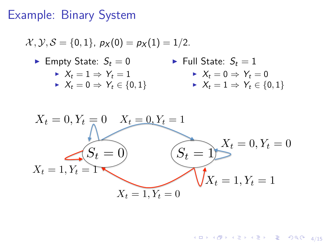## <span id="page-4-0"></span>Example: Binary System

$$
x, y, S = \{0, 1\}, p_X(0) = p_X(1) = 1/2.
$$
  
\n► Empty State:  $S_t = 0$   
\n►  $X_t = 1 \Rightarrow Y_t = 1$   
\n►  $X_t = 0 \Rightarrow Y_t \in \{0, 1\}$   
\n►  $X_t = 0 \Rightarrow Y_t \in \{0, 1\}$   
\n►  $X_t = 0 \Rightarrow Y_t \in \{0, 1\}$   
\n►  $X_t = 1 \Rightarrow Y_t \in \{0, 1\}$   
\n $X_t = 0, Y_t = 0$   
\n $X_t = 1, Y_t = 1$   
\n $X_t = 1, Y_t = 0$   
\n $X_t = 1, Y_t = 0$   
\n $X_t = 1, Y_t = 0$ 

4 ロ → 4 @ ▶ 4 ミ → 4 ミ → 三 글 → 9 Q Q + 4/15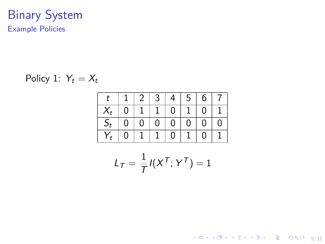#### Binary System Example Policies

$$
Policy 1: Y_t = X_t
$$

| $\ddot{}$ |                | 2 <sup>1</sup>    | 3 <sup>1</sup> | $(4+$                   |              | $5 \mid 6$     | $\overline{7}$   |
|-----------|----------------|-------------------|----------------|-------------------------|--------------|----------------|------------------|
|           | $\overline{0}$ |                   | $-1$           | $^{\circ}$ O $^{\circ}$ | $\mathbf{1}$ | $\overline{0}$ |                  |
| $S_t$     | 0 <sub>1</sub> | $+0$ <sup>+</sup> | $\overline{0}$ | $\pm$ 0 $^{-1}$         |              | $0 \mid 0$     | $\boldsymbol{0}$ |
| $Y_t$     | 0              |                   |                | $\overline{0}$          |              | $\Omega$       |                  |

$$
L_T = \frac{1}{T} I(X^T; Y^T) = 1
$$

4 ロ ▶ 4 @ ▶ 4 블 ▶ 4 블 ▶ - 블 - 외의에 - 5/15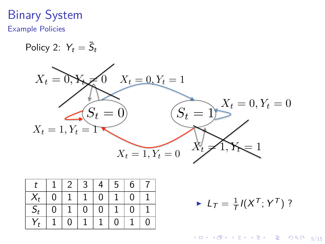# Binary System

Example Policies

$$
Policy 2: Y_t = \bar{S}_t
$$



|       |                | 2 <sup>1</sup> | 3 <sup>7</sup> | 4 <sub>1</sub> | 5 <sup>5</sup> | 6        |   |
|-------|----------------|----------------|----------------|----------------|----------------|----------|---|
| $X_t$ | $\overline{0}$ |                |                | $\Omega$       |                | $\Omega$ |   |
| $S_t$ | 0              |                | $\overline{0}$ | $\overline{0}$ |                | $\Omega$ |   |
|       |                | 0              |                |                | $\Omega$       |          | 0 |

 $L_{\mathcal{T}} = \frac{1}{\mathcal{T}} I(X^{\mathcal{T}}; Y^{\mathcal{T}})$  ?

4 ロ → 4 @ ▶ 4 블 → 4 블 → 1 를 → 9 Q Q + 5/15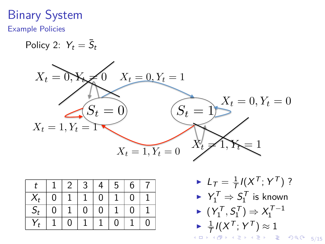## Binary System

#### Example Policies

$$
Policy 2: Y_t = \bar{S}_t
$$



|       |   | 2 <sup>1</sup> | 3              | 4              | 5 | 6        |   |
|-------|---|----------------|----------------|----------------|---|----------|---|
|       | 0 |                |                | $\overline{0}$ |   | $\Omega$ |   |
| $S_t$ | 0 |                | $\overline{0}$ | $\overline{0}$ |   | $\Omega$ |   |
|       |   | 0              |                |                | 0 |          | 0 |

K ロ > K 레 > K 코 > K 코 > 『코 → ⊙ 9 Q → 5/15  $L_{\mathcal{T}} = \frac{1}{\mathcal{T}} I(X^{\mathcal{T}}; Y^{\mathcal{T}})$  ?  $\blacktriangleright$   $Y_1^{\mathcal{T}} \Rightarrow S_1^{\mathcal{T}}$  is known  $\blacktriangleright$   $(Y_1^T, S_1^T) \Rightarrow X_1^{T-1}$  $\blacktriangleright$   $\frac{1}{\mathcal{T}} I(X^{\mathcal{T}}; Y^{\mathcal{T}}) \approx 1$  $\frac{1}{\mathcal{T}} I(X^{\mathcal{T}}; Y^{\mathcal{T}}) \approx 1$  $\frac{1}{\mathcal{T}} I(X^{\mathcal{T}}; Y^{\mathcal{T}}) \approx 1$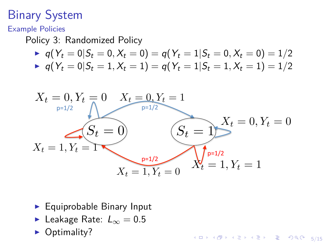## <span id="page-8-0"></span>Binary System

Example Policies

Policy 3: Randomized Policy

$$
\blacktriangleright \ \ q(Y_t = 0 | S_t = 0, X_t = 0) = q(Y_t = 1 | S_t = 0, X_t = 0) = 1/2
$$

$$
\blacktriangleright \ \ q(Y_t = 0 | S_t = 1, X_t = 1) = q(Y_t = 1 | S_t = 1, X_t = 1) = 1/2
$$



4 ロ ▶ 4 레 ▶ 4 로 ▶ 4 로 ▶ 그로 → 9 Q O + 5/15

- $\blacktriangleright$  Equiprobable Binary Input
- **E** Leakage Rate:  $L_{\infty} = 0.5$
- $\triangleright$  Optimality?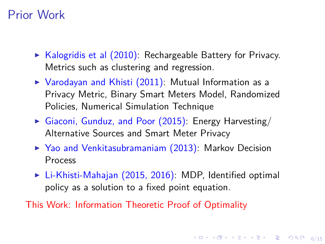### <span id="page-9-0"></span>Prior Work

- $\triangleright$  Kalogridis et al (2010): Rechargeable Battery for Privacy. Metrics such as clustering and regression.
- $\triangleright$  Varodayan and Khisti (2011): Mutual Information as a Privacy Metric, Binary Smart Meters Model, Randomized Policies, Numerical Simulation Technique
- $\triangleright$  Giaconi, Gunduz, and Poor (2015): Energy Harvesting/ Alternative Sources and Smart Meter Privacy
- $\triangleright$  Yao and Venkitasubramaniam (2013): Markov Decision Process
- $\triangleright$  Li-Khisti-Mahajan (2015, 2016): MDP, Identified optimal policy as a solution to a fixed point equation.

This Work: Information Theoretic Proof of Optimality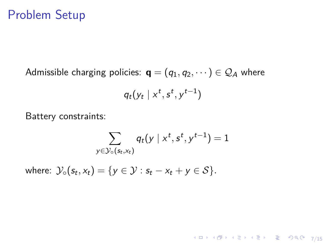#### <span id="page-10-0"></span>Problem Setup

Admissible charging policies:  $\mathbf{q} = (q_1, q_2, \dots) \in \mathcal{Q}_A$  where

$$
q_t(y_t \mid x^t, s^t, y^{t-1})
$$

Battery constraints:

$$
\sum_{y \in \mathcal{Y}_{\circ}(\mathsf{s}_t, \mathsf{x}_t)} q_t(y \mid x^t, s^t, y^{t-1}) = 1
$$

7/15

 $\text{where: } \mathcal{Y}_{\circ}(s_t, x_t) = \{y \in \mathcal{Y} : s_t - x_t + y \in \mathcal{S}\}.$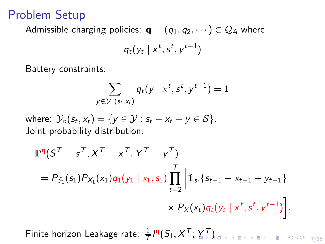### Problem Setup

Admissible charging policies:  $\mathbf{q} = (q_1, q_2, \dots) \in \mathcal{Q}_A$  where

$$
q_t(y_t \mid x^t, s^t, y^{t-1})
$$

Battery constraints:

$$
\sum_{y \in \mathcal{Y}_{\circ}(\mathsf{s}_t, \mathsf{x}_t)} q_t(y \mid x^t, s^t, y^{t-1}) = 1
$$

 $\text{where: } \mathcal{Y}_{\circ}(s_t, x_t) = \{y \in \mathcal{Y} : s_t - x_t + y \in \mathcal{S}\}.$ Joint probability distribution:

$$
\mathbb{P}^{\mathbf{q}}(S^{\mathsf{T}} = s^{\mathsf{T}}, X^{\mathsf{T}} = x^{\mathsf{T}}, Y^{\mathsf{T}} = y^{\mathsf{T}})
$$
  
=  $P_{S_1}(s_1)P_{X_1}(x_1)q_1(y_1 | x_1, s_1) \prod_{t=2}^{\mathsf{T}} \left[ 1_{s_t} \{s_{t-1} - x_{t-1} + y_{t-1}\}\right. \\ \times P_X(x_t)q_t(y_t | x^t, s^t, y^{t-1}) \right].$ 

Finite horizon Leakage rate:  $\frac{1}{\mathcal{T}}$  $\frac{1}{\mathcal{T}}$  $\frac{1}{\mathcal{T}}$ /¶ $(S_1, X^{\mathcal{T}}; Y^{\mathcal{T}})$  $(S_1, X^{\mathcal{T}}; Y^{\mathcal{T}})$  $(S_1, X^{\mathcal{T}}; Y^{\mathcal{T}})$  $(S_1, X^{\mathcal{T}}; Y^{\mathcal{T}})$ proposition is the second  $_{7/15}$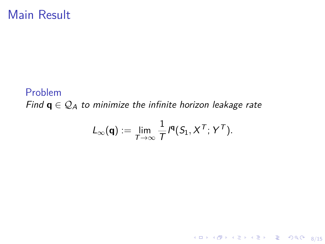### <span id="page-12-0"></span>Main Result

#### Problem *Find*  $\mathbf{q} \in \mathcal{Q}_A$  *to minimize the infinite horizon leakage rate*

$$
L_{\infty}(\mathbf{q}) := \lim_{T \to \infty} \frac{1}{T} I^{\mathbf{q}}(S_1, X^T; Y^T).
$$

8/15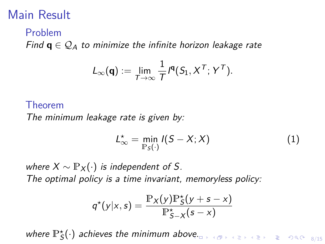### Main Result

#### Problem

*Find*  $\mathbf{q} \in \mathcal{Q}_A$  to minimize the infinite horizon leakage rate

$$
L_{\infty}(\mathbf{q}) := \lim_{T \to \infty} \frac{1}{T} I^{\mathbf{q}}(S_1, X^T; Y^T).
$$

#### Theorem

*The minimum leakage rate is given by:*

$$
L_{\infty}^{\star} = \min_{\mathbb{P}_{S}(\cdot)} I(S - X; X)
$$
 (1)

*where*  $X \sim \mathbb{P}_X(\cdot)$  *is independent of S. The optimal policy is a time invariant, memoryless policy:*

$$
q^*(y|x,s) = \frac{\mathbb{P}_X(y)\mathbb{P}_S^*(y+s-x)}{\mathbb{P}_{S-X}^*(s-x)}
$$

where  $\mathbb{P}^{\star}_{\mathsf{S}}(\cdot)$  achieves the minimum abo[ve.](#page-12-0) By a service of the service  $s_{/15}$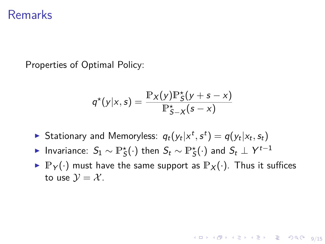#### Remarks

Properties of Optimal Policy:

$$
q^*(y|x,s) = \frac{\mathbb{P}_X(y)\mathbb{P}_S^*(y+s-x)}{\mathbb{P}_{S-X}^*(s-x)}
$$

- $\blacktriangleright$  Stationary and Memoryless:  $q_t(y_t|x^t, s^t) = q(y_t|x_t, s_t)$
- ► Invariance:  $S_1 \sim \mathbb{P}^{\star}_{\mathcal{S}}(\cdot)$  then  $S_t \sim \mathbb{P}^{\star}_{\mathcal{S}}(\cdot)$  and  $S_t \perp Y^{t-1}$
- $\blacktriangleright \mathbb{P}_{Y}(\cdot)$  must have the same support as  $\mathbb{P}_{X}(\cdot)$ . Thus it suffices to use  $\mathcal{V} = \mathcal{X}$ .

4 ロ ▶ 4 레 ▶ 4 로 ▶ 4 로 ▶ 그로 → 9 9 0 0 9/15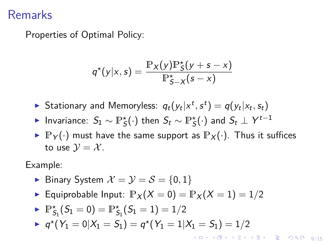### Remarks

Properties of Optimal Policy:

$$
q^*(y|x,s) = \frac{\mathbb{P}_X(y)\mathbb{P}_S^*(y+s-x)}{\mathbb{P}_{S-X}^*(s-x)}
$$

- $\blacktriangleright$  Stationary and Memoryless:  $q_t(y_t|x^t, s^t) = q(y_t|x_t, s_t)$
- ► Invariance:  $S_1 \sim \mathbb{P}^{\star}_{\mathcal{S}}(\cdot)$  then  $S_t \sim \mathbb{P}^{\star}_{\mathcal{S}}(\cdot)$  and  $S_t \perp Y^{t-1}$
- $\blacktriangleright$   $\mathbb{P}_{Y}(\cdot)$  must have the same support as  $\mathbb{P}_{X}(\cdot)$ . Thus it suffices to use  $\mathcal{V} = \mathcal{X}$ .

Example:

- Binary System  $\mathcal{X} = \mathcal{Y} = \mathcal{S} = \{0, 1\}$
- **Equiprobable Input:**  $\mathbb{P}_X(X=0) = \mathbb{P}_X(X=1) = 1/2$

$$
\blacktriangleright \ \mathbb{P}^{\star}_{\mathcal{S}_1} ( \mathcal{S}_1 = 0) = \mathbb{P}^{\star}_{\mathcal{S}_1} ( \mathcal{S}_1 = 1) = 1/2
$$

 $\bullet$   $q^*(Y_1 = 0 | X_1 = S_1) = q^*(Y_1 = 1 | X_1 = S_1) = 1/2$ 

4 ロ > 4 레 > 4 로 > 4 로 > 로 + 9 Q O + 9/15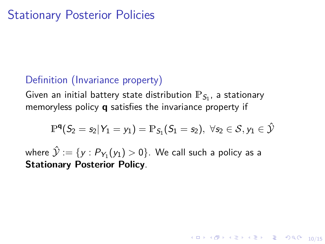#### Definition (Invariance property)

Given an initial battery state distribution  $\mathbb{P}_{\mathcal{S}_1}$ , a stationary memoryless policy **q** satisfies the invariance property if

$$
\mathbb{P}^{\mathsf{q}}(S_2 = s_2 | Y_1 = y_1) = \mathbb{P}_{S_1}(S_1 = s_2), \ \forall s_2 \in \mathcal{S}, y_1 \in \hat{\mathcal{Y}}
$$

10 → 1日 → 1월 → 1월 → 1월 → 10/15

where  $\mathcal{\hat{Y}} := \{ \mathcal{\bm{y}}: \mathcal{\bm{P}_{Y_1}}(\mathcal{\bm{y_1}}) > 0\}.$  We call such a policy as a **Stationary Posterior Policy**.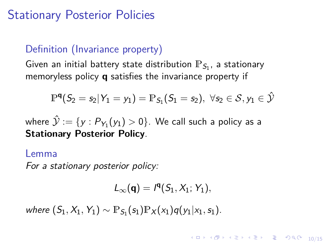### Stationary Posterior Policies

#### Definition (Invariance property)

Given an initial battery state distribution  $\mathbb{P}_{\mathcal{S}_1}$ , a stationary memoryless policy **q** satisfies the invariance property if

$$
\mathbb{P}^{\mathsf{q}}( \mathcal{S}_2 = \mathcal{s}_2 | \mathcal{Y}_1 = \mathcal{y}_1 ) = \mathbb{P}_{\mathcal{S}_1}( \mathcal{S}_1 = \mathcal{s}_2 ), \,\, \forall \mathcal{s}_2 \in \mathcal{S}, \mathcal{y}_1 \in \hat{\mathcal{Y}}
$$

where  $\mathcal{\hat{Y}} := \{ \mathcal{\bm{y}}: \mathcal{\bm{P}_{Y_1}}(\mathcal{\bm{y_1}}) > 0\}.$  We call such a policy as a **Stationary Posterior Policy**.

#### Lemma

*For a stationary posterior policy:*

$$
L_\infty(\textbf{q})= \textbf{1}^{\textbf{q}}(S_1,X_1;\, Y_1),
$$

10/15

 $\text{where } (S_1, X_1, Y_1) \sim \mathbb{P}_{S_1}(s_1)\mathbb{P}_X(x_1)q(y_1|x_1, s_1).$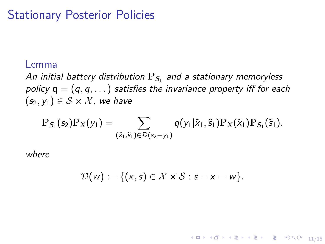#### Stationary Posterior Policies

#### Lemma

An initial battery distribution  $\mathbb{P}_{\mathcal{S}_1}$  and a stationary memoryless *policy* **q** = (*q, q,...*) *satisfies the invariance property i*ff *for each*  $(s_2, y_1) \in S \times \mathcal{X}$ , we have

$$
\mathbb{P}_{S_1}(s_2)\mathbb{P}_X(y_1)=\sum_{(\tilde{x}_1,\tilde{s}_1)\in\mathcal{D}(s_2-y_1)}q(y_1|\tilde{x}_1,\tilde{s}_1)\mathbb{P}_X(\tilde{x}_1)\mathbb{P}_{S_1}(\tilde{s}_1).
$$

*where*

$$
\mathcal{D}(w) := \{(x,s) \in \mathcal{X} \times \mathcal{S} : s - x = w\}.
$$

11/15 12 14 14 14 14 15 14 15 14 15 14 15 14 15 15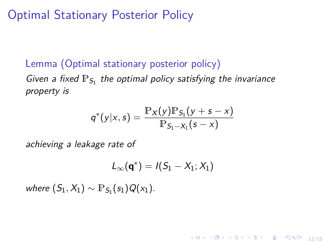### Optimal Stationary Posterior Policy

#### Lemma (Optimal stationary posterior policy) Given a fixed  $\mathbb{P}_{S_1}$  the optimal policy satisfying the invariance *property is*

$$
q^*(y|x,s) = \frac{\mathbb{P}_X(y)\mathbb{P}_{S_1}(y+s-x)}{\mathbb{P}_{S_1-X_1}(s-x)}
$$

*achieving a leakage rate of*

$$
\mathit{L}_{\infty}(\bm{q}^*) = \mathit{I}(S_1 - X_1; X_1)
$$

10 → 11만 → 11만 → 12 → 12 + 2 → 9 0 0 + 12/15

 $where (S_1, X_1) \sim \mathbb{P}_{S_1}(s_1)Q(x_1).$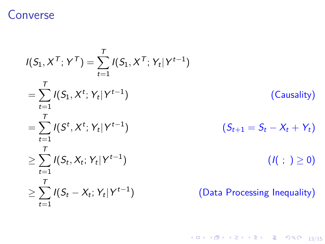### Converse

$$
I(S_1, X^T; Y^T) = \sum_{t=1}^T I(S_1, X^T; Y_t | Y^{t-1})
$$
  
\n
$$
= \sum_{t=1}^T I(S_1, X^t; Y_t | Y^{t-1})
$$
 (Causality)  
\n
$$
= \sum_{t=1}^T I(S^t, X^t; Y_t | Y^{t-1})
$$
 (S<sub>t+1</sub> = S<sub>t</sub> - X<sub>t</sub> + Y<sub>t</sub>)  
\n
$$
\geq \sum_{t=1}^T I(S_t, X_t; Y_t | Y^{t-1})
$$
 (I( ; )  $\geq 0$ )  
\n
$$
\geq \sum_{t=1}^T I(S_t - X_t; Y_t | Y^{t-1})
$$
 (Data Processing Inequality)

13/15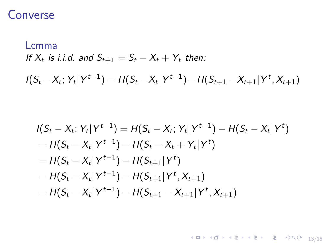### Converse

Lemma  
If 
$$
X_t
$$
 is i.i.d. and  $S_{t+1} = S_t - X_t + Y_t$  then:  

$$
I(S_t - X_t; Y_t | Y^{t-1}) = H(S_t - X_t | Y^{t-1}) - H(S_{t+1} - X_{t+1} | Y^t, X_{t+1})
$$

$$
I(S_t - X_t; Y_t | Y^{t-1}) = H(S_t - X_t; Y_t | Y^{t-1}) - H(S_t - X_t | Y^t)
$$
  
=  $H(S_t - X_t | Y^{t-1}) - H(S_t - X_t + Y_t | Y^t)$   
=  $H(S_t - X_t | Y^{t-1}) - H(S_{t+1} | Y^t)$   
=  $H(S_t - X_t | Y^{t-1}) - H(S_{t+1} | Y^t, X_{t+1})$   
=  $H(S_t - X_t | Y^{t-1}) - H(S_{t+1} - X_{t+1} | Y^t, X_{t+1})$ 

4 ロ ▶ 4 @ ▶ 4 로 ▶ 4 로 ▶ - 로 - 9 9 0 13/15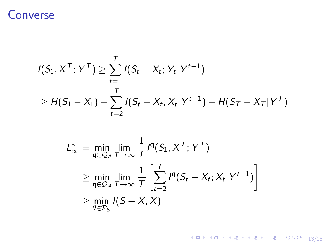### Converse

$$
I(S_1, X^{\mathsf{T}}; Y^{\mathsf{T}}) \geq \sum_{t=1}^{\mathsf{T}} I(S_t - X_t; Y_t | Y^{t-1})
$$
  

$$
\geq H(S_1 - X_1) + \sum_{t=2}^{\mathsf{T}} I(S_t - X_t; X_t | Y^{t-1}) - H(S_{\mathsf{T}} - X_{\mathsf{T}} | Y^{\mathsf{T}})
$$

$$
L_{\infty}^{*} = \min_{\mathbf{q} \in \mathcal{Q}_{A}} \lim_{T \to \infty} \frac{1}{T} I^{\mathbf{q}}(S_{1}, X^{T}; Y^{T})
$$
  
\n
$$
\geq \min_{\mathbf{q} \in \mathcal{Q}_{A}} \lim_{T \to \infty} \frac{1}{T} \left[ \sum_{t=2}^{T} I^{\mathbf{q}}(S_{t} - X_{t}; X_{t} | Y^{t-1}) \right]
$$
  
\n
$$
\geq \min_{\theta \in \mathcal{P}_{S}} I(S - X; X)
$$

1日 → 1日 → 1日 → 1日 → 1日 → 200 → 13/15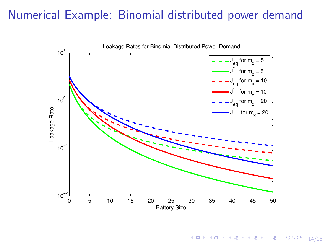### Numerical Example: Binomial distributed power demand



14/15 14/15 14/15 14/15